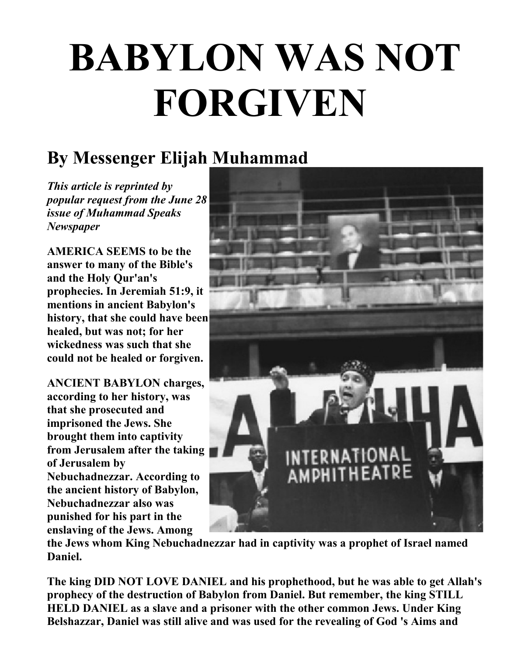## **BABYLON WAS NOT FORGIVEN**

## **By Messenger Elijah Muhammad**

*This article is reprinted by popular request from the June 28 issue of Muhammad Speaks Newspaper*

**AMERICA SEEMS to be the answer to many of the Bible's and the Holy Qur'an's prophecies. In Jeremiah 51:9, it mentions in ancient Babylon's history, that she could have been healed, but was not; for her wickedness was such that she could not be healed or forgiven.** 

**ANCIENT BABYLON charges, according to her history, was that she prosecuted and imprisoned the Jews. She brought them into captivity from Jerusalem after the taking of Jerusalem by Nebuchadnezzar. According to the ancient history of Babylon, Nebuchadnezzar also was punished for his part in the enslaving of the Jews. Among**



**the Jews whom King Nebuchadnezzar had in captivity was a prophet of Israel named Daniel.** 

**The king DID NOT LOVE DANIEL and his prophethood, but he was able to get Allah's prophecy of the destruction of Babylon from Daniel. But remember, the king STILL HELD DANIEL as a slave and a prisoner with the other common Jews. Under King Belshazzar, Daniel was still alive and was used for the revealing of God 's Aims and**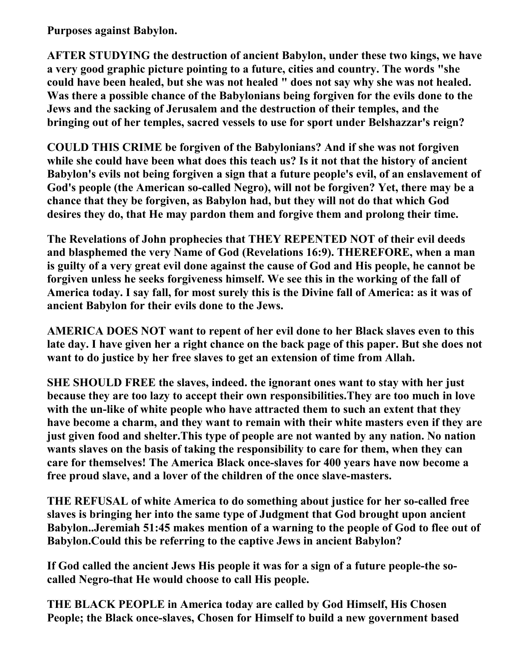**Purposes against Babylon.** 

**AFTER STUDYING the destruction of ancient Babylon, under these two kings, we have a very good graphic picture pointing to a future, cities and country. The words "she could have been healed, but she was not healed " does not say why she was not healed. Was there a possible chance of the Babylonians being forgiven for the evils done to the Jews and the sacking of Jerusalem and the destruction of their temples, and the bringing out of her temples, sacred vessels to use for sport under Belshazzar's reign?** 

**COULD THIS CRIME be forgiven of the Babylonians? And if she was not forgiven while she could have been what does this teach us? Is it not that the history of ancient Babylon's evils not being forgiven a sign that a future people's evil, of an enslavement of God's people (the American so-called Negro), will not be forgiven? Yet, there may be a chance that they be forgiven, as Babylon had, but they will not do that which God desires they do, that He may pardon them and forgive them and prolong their time.** 

**The Revelations of John prophecies that THEY REPENTED NOT of their evil deeds and blasphemed the very Name of God (Revelations 16:9). THEREFORE, when a man is guilty of a very great evil done against the cause of God and His people, he cannot be forgiven unless he seeks forgiveness himself. We see this in the working of the fall of America today. I say fall, for most surely this is the Divine fall of America: as it was of ancient Babylon for their evils done to the Jews.** 

**AMERICA DOES NOT want to repent of her evil done to her Black slaves even to this late day. I have given her a right chance on the back page of this paper. But she does not want to do justice by her free slaves to get an extension of time from Allah.** 

**SHE SHOULD FREE the slaves, indeed. the ignorant ones want to stay with her just because they are too lazy to accept their own responsibilities.They are too much in love with the un-like of white people who have attracted them to such an extent that they have become a charm, and they want to remain with their white masters even if they are just given food and shelter.This type of people are not wanted by any nation. No nation wants slaves on the basis of taking the responsibility to care for them, when they can care for themselves! The America Black once-slaves for 400 years have now become a free proud slave, and a lover of the children of the once slave-masters.**

**THE REFUSAL of white America to do something about justice for her so-called free slaves is bringing her into the same type of Judgment that God brought upon ancient Babylon..Jeremiah 51:45 makes mention of a warning to the people of God to flee out of Babylon.Could this be referring to the captive Jews in ancient Babylon?**

**If God called the ancient Jews His people it was for a sign of a future people-the socalled Negro-that He would choose to call His people.** 

**THE BLACK PEOPLE in America today are called by God Himself, His Chosen People; the Black once-slaves, Chosen for Himself to build a new government based**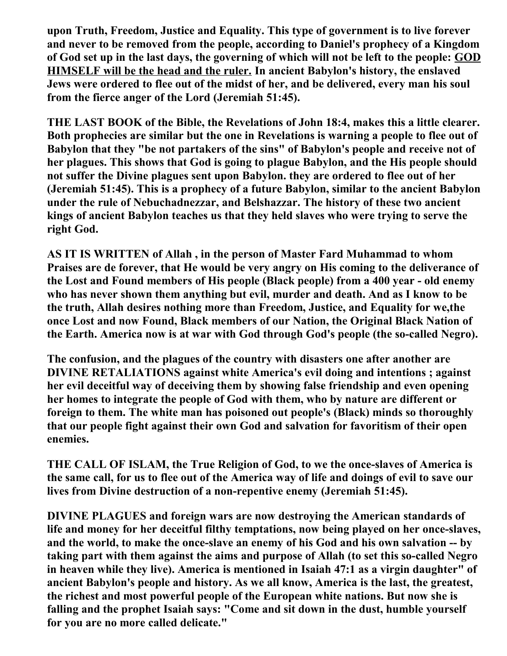**upon Truth, Freedom, Justice and Equality. This type of government is to live forever and never to be removed from the people, according to Daniel's prophecy of a Kingdom of God set up in the last days, the governing of which will not be left to the people: GOD HIMSELF will be the head and the ruler. In ancient Babylon's history, the enslaved Jews were ordered to flee out of the midst of her, and be delivered, every man his soul from the fierce anger of the Lord (Jeremiah 51:45).** 

**THE LAST BOOK of the Bible, the Revelations of John 18:4, makes this a little clearer. Both prophecies are similar but the one in Revelations is warning a people to flee out of Babylon that they "be not partakers of the sins" of Babylon's people and receive not of her plagues. This shows that God is going to plague Babylon, and the His people should not suffer the Divine plagues sent upon Babylon. they are ordered to flee out of her (Jeremiah 51:45). This is a prophecy of a future Babylon, similar to the ancient Babylon under the rule of Nebuchadnezzar, and Belshazzar. The history of these two ancient kings of ancient Babylon teaches us that they held slaves who were trying to serve the right God.** 

**AS IT IS WRITTEN of Allah , in the person of Master Fard Muhammad to whom Praises are de forever, that He would be very angry on His coming to the deliverance of the Lost and Found members of His people (Black people) from a 400 year - old enemy who has never shown them anything but evil, murder and death. And as I know to be the truth, Allah desires nothing more than Freedom, Justice, and Equality for we,the once Lost and now Found, Black members of our Nation, the Original Black Nation of the Earth. America now is at war with God through God's people (the so-called Negro).** 

**The confusion, and the plagues of the country with disasters one after another are DIVINE RETALIATIONS against white America's evil doing and intentions ; against her evil deceitful way of deceiving them by showing false friendship and even opening her homes to integrate the people of God with them, who by nature are different or foreign to them. The white man has poisoned out people's (Black) minds so thoroughly that our people fight against their own God and salvation for favoritism of their open enemies.** 

**THE CALL OF ISLAM, the True Religion of God, to we the once-slaves of America is the same call, for us to flee out of the America way of life and doings of evil to save our lives from Divine destruction of a non-repentive enemy (Jeremiah 51:45).** 

**DIVINE PLAGUES and foreign wars are now destroying the American standards of life and money for her deceitful filthy temptations, now being played on her once-slaves, and the world, to make the once-slave an enemy of his God and his own salvation -- by taking part with them against the aims and purpose of Allah (to set this so-called Negro in heaven while they live). America is mentioned in Isaiah 47:1 as a virgin daughter" of ancient Babylon's people and history. As we all know, America is the last, the greatest, the richest and most powerful people of the European white nations. But now she is falling and the prophet Isaiah says: "Come and sit down in the dust, humble yourself for you are no more called delicate."**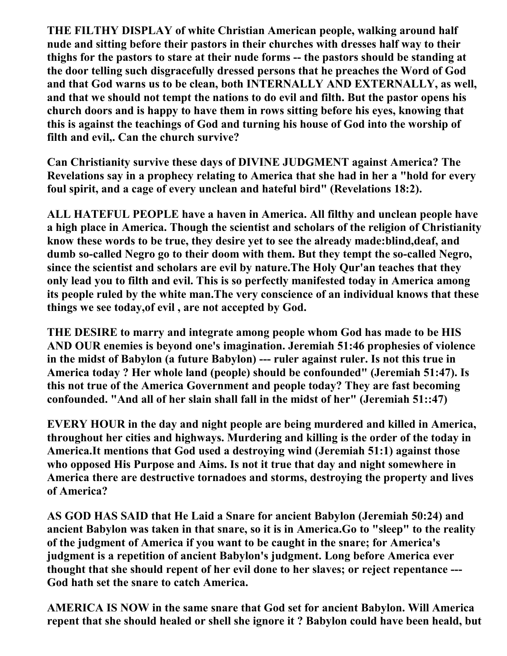**THE FILTHY DISPLAY of white Christian American people, walking around half nude and sitting before their pastors in their churches with dresses half way to their thighs for the pastors to stare at their nude forms -- the pastors should be standing at the door telling such disgracefully dressed persons that he preaches the Word of God and that God warns us to be clean, both INTERNALLY AND EXTERNALLY, as well, and that we should not tempt the nations to do evil and filth. But the pastor opens his church doors and is happy to have them in rows sitting before his eyes, knowing that this is against the teachings of God and turning his house of God into the worship of filth and evil,. Can the church survive?** 

**Can Christianity survive these days of DIVINE JUDGMENT against America? The Revelations say in a prophecy relating to America that she had in her a "hold for every foul spirit, and a cage of every unclean and hateful bird" (Revelations 18:2).** 

**ALL HATEFUL PEOPLE have a haven in America. All filthy and unclean people have a high place in America. Though the scientist and scholars of the religion of Christianity know these words to be true, they desire yet to see the already made:blind,deaf, and dumb so-called Negro go to their doom with them. But they tempt the so-called Negro, since the scientist and scholars are evil by nature.The Holy Qur'an teaches that they only lead you to filth and evil. This is so perfectly manifested today in America among its people ruled by the white man.The very conscience of an individual knows that these things we see today,of evil , are not accepted by God.** 

**THE DESIRE to marry and integrate among people whom God has made to be HIS AND OUR enemies is beyond one's imagination. Jeremiah 51:46 prophesies of violence in the midst of Babylon (a future Babylon) --- ruler against ruler. Is not this true in America today ? Her whole land (people) should be confounded" (Jeremiah 51:47). Is this not true of the America Government and people today? They are fast becoming confounded. "And all of her slain shall fall in the midst of her" (Jeremiah 51::47)**

**EVERY HOUR in the day and night people are being murdered and killed in America, throughout her cities and highways. Murdering and killing is the order of the today in America.It mentions that God used a destroying wind (Jeremiah 51:1) against those who opposed His Purpose and Aims. Is not it true that day and night somewhere in America there are destructive tornadoes and storms, destroying the property and lives of America?** 

**AS GOD HAS SAID that He Laid a Snare for ancient Babylon (Jeremiah 50:24) and ancient Babylon was taken in that snare, so it is in America.Go to "sleep" to the reality of the judgment of America if you want to be caught in the snare; for America's judgment is a repetition of ancient Babylon's judgment. Long before America ever thought that she should repent of her evil done to her slaves; or reject repentance --- God hath set the snare to catch America.** 

**AMERICA IS NOW in the same snare that God set for ancient Babylon. Will America repent that she should healed or shell she ignore it ? Babylon could have been heald, but**